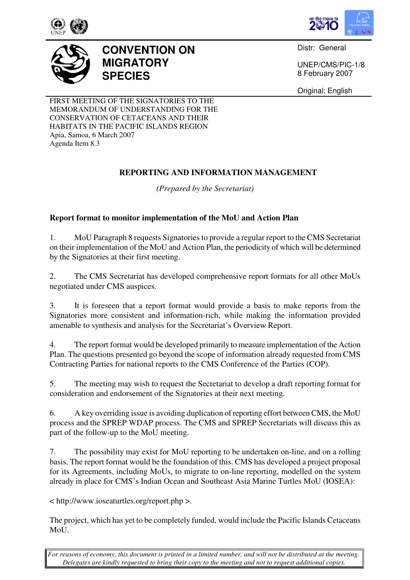





**CONVENTION ON MIGRATORY SPECIES** 

Distr: General

UNEP/CMS/PIC-1/8 8 February 2007

Original: English

FIRST MEETING OF THE SIGNATORIES TO THE MEMORANDUM OF UNDERSTANDING FOR THE CONSERVATION OF CETACEANS AND THEIR HABITATS IN THE PACIFIC ISLANDS REGION Apia, Samoa, 6 March 2007 Agenda Item 8.3

# **REPORTING AND INFORMATION MANAGEMENT**

*(Prepared by the Secretariat)* 

## **Report format to monitor implementation of the MoU and Action Plan**

1. MoU Paragraph 8 requests Signatories to provide a regular report to the CMS Secretariat on their implementation of the MoU and Action Plan, the periodicity of which will be determined by the Signatories at their first meeting.

2. The CMS Secretariat has developed comprehensive report formats for all other MoUs negotiated under CMS auspices.

3. It is foreseen that a report format would provide a basis to make reports from the Signatories more consistent and information-rich, while making the information provided amenable to synthesis and analysis for the Secretariat's Overview Report.

4. The report format would be developed primarily to measure implementation of the Action Plan. The questions presented go beyond the scope of information already requested from CMS Contracting Parties for national reports to the CMS Conference of the Parties (COP).

5. The meeting may wish to request the Secretariat to develop a draft reporting format for consideration and endorsement of the Signatories at their next meeting.

6. A key overriding issue is avoiding duplication of reporting effort between CMS, the MoU process and the SPREP WDAP process. The CMS and SPREP Secretariats will discuss this as part of the follow-up to the MoU meeting.

7. The possibility may exist for MoU reporting to be undertaken on-line, and on a rolling basis. The report format would be the foundation of this. CMS has developed a project proposal for its Agreements, including MoUs, to migrate to on-line reporting, modelled on the system already in place for CMS's Indian Ocean and Southeast Asia Marine Turtles MoU (IOSEA):

< http://www.ioseaturtles.org/report.php >.

The project, which has yet to be completely funded, would include the Pacific Islands Cetaceans MoU.

*For reasons of economy, this document is printed in a limited number, and will not be distributed at the meeting. Delegates are kindly requested to bring their copy to the meeting and not to request additional copies.*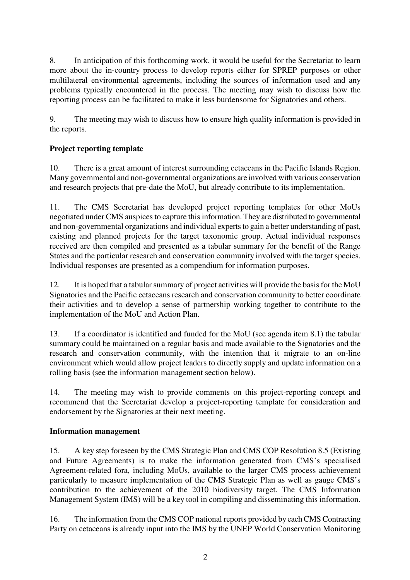8. In anticipation of this forthcoming work, it would be useful for the Secretariat to learn more about the in-country process to develop reports either for SPREP purposes or other multilateral environmental agreements, including the sources of information used and any problems typically encountered in the process. The meeting may wish to discuss how the reporting process can be facilitated to make it less burdensome for Signatories and others.

9. The meeting may wish to discuss how to ensure high quality information is provided in the reports.

## **Project reporting template**

10. There is a great amount of interest surrounding cetaceans in the Pacific Islands Region. Many governmental and non-governmental organizations are involved with various conservation and research projects that pre-date the MoU, but already contribute to its implementation.

11. The CMS Secretariat has developed project reporting templates for other MoUs negotiated under CMS auspices to capture this information. They are distributed to governmental and non-governmental organizations and individual experts to gain a better understanding of past, existing and planned projects for the target taxonomic group. Actual individual responses received are then compiled and presented as a tabular summary for the benefit of the Range States and the particular research and conservation community involved with the target species. Individual responses are presented as a compendium for information purposes.

12. It is hoped that a tabular summary of project activities will provide the basis for the MoU Signatories and the Pacific cetaceans research and conservation community to better coordinate their activities and to develop a sense of partnership working together to contribute to the implementation of the MoU and Action Plan.

13. If a coordinator is identified and funded for the MoU (see agenda item 8.1) the tabular summary could be maintained on a regular basis and made available to the Signatories and the research and conservation community, with the intention that it migrate to an on-line environment which would allow project leaders to directly supply and update information on a rolling basis (see the information management section below).

14. The meeting may wish to provide comments on this project-reporting concept and recommend that the Secretariat develop a project-reporting template for consideration and endorsement by the Signatories at their next meeting.

### **Information management**

15. A key step foreseen by the CMS Strategic Plan and CMS COP Resolution 8.5 (Existing and Future Agreements) is to make the information generated from CMS's specialised Agreement-related fora, including MoUs, available to the larger CMS process achievement particularly to measure implementation of the CMS Strategic Plan as well as gauge CMS's contribution to the achievement of the 2010 biodiversity target. The CMS Information Management System (IMS) will be a key tool in compiling and disseminating this information.

16. The information from the CMS COP national reports provided by each CMS Contracting Party on cetaceans is already input into the IMS by the UNEP World Conservation Monitoring